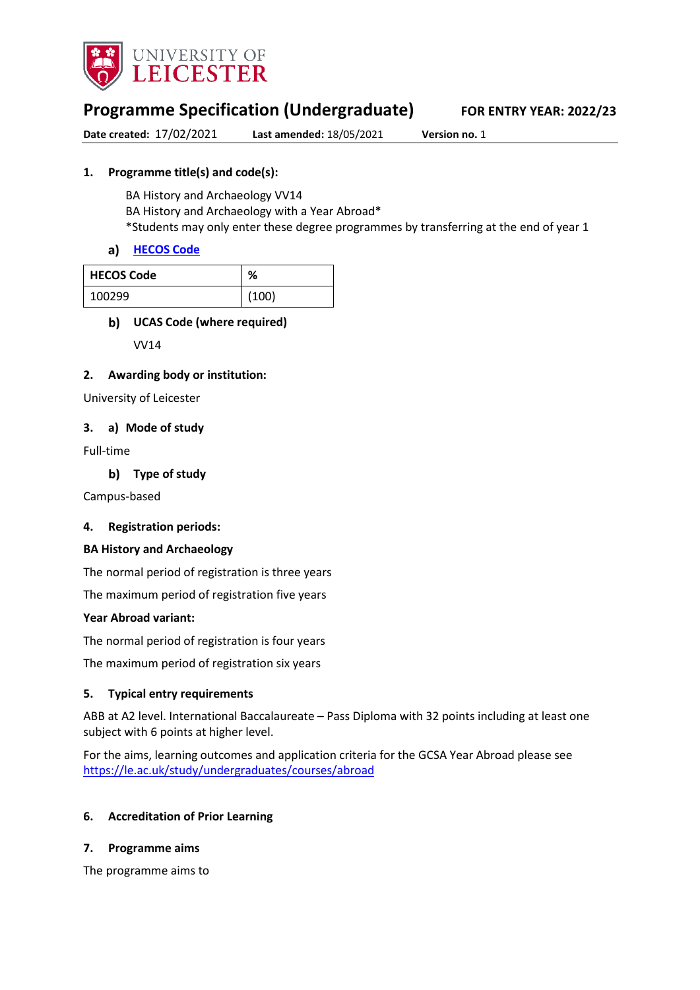

# **Programme Specification (Undergraduate) FOR ENTRY YEAR: 2022/23**

**Date created:** 17/02/2021 **Last amended:** 18/05/2021 **Version no.** 1

### **1. Programme title(s) and code(s):**

BA History and Archaeology VV14 BA History and Archaeology with a Year Abroad\* \*Students may only enter these degree programmes by transferring at the end of year 1

### a) [HECOS Code](https://www.hesa.ac.uk/innovation/hecos)

| <b>HECOS Code</b> | %     |
|-------------------|-------|
| 100299            | (100) |

### **UCAS Code (where required)**

VV14

### **2. Awarding body or institution:**

University of Leicester

### **3. a) Mode of study**

Full-time

**Type of study**

Campus-based

### **4. Registration periods:**

### **BA History and Archaeology**

The normal period of registration is three years

The maximum period of registration five years

### **Year Abroad variant:**

The normal period of registration is four years

The maximum period of registration six years

### **5. Typical entry requirements**

ABB at A2 level. International Baccalaureate – Pass Diploma with 32 points including at least one subject with 6 points at higher level.

For the aims, learning outcomes and application criteria for the GCSA Year Abroad please see <https://le.ac.uk/study/undergraduates/courses/abroad>

### **6. Accreditation of Prior Learning**

### **7. Programme aims**

The programme aims to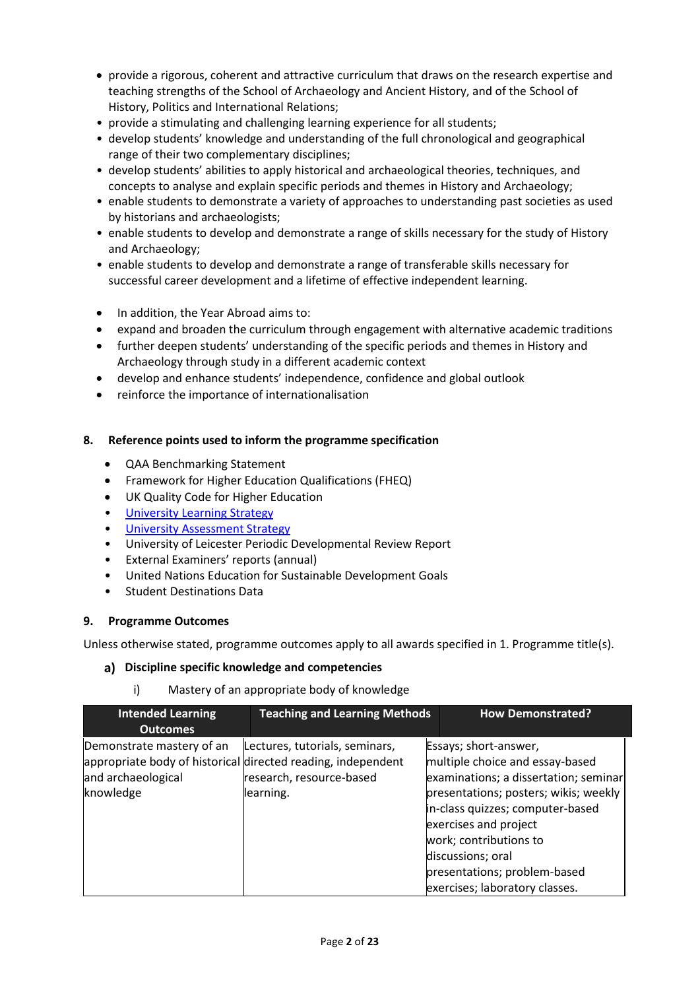- provide a rigorous, coherent and attractive curriculum that draws on the research expertise and teaching strengths of the School of Archaeology and Ancient History, and of the School of History, Politics and International Relations;
- provide a stimulating and challenging learning experience for all students;
- develop students' knowledge and understanding of the full chronological and geographical range of their two complementary disciplines;
- develop students' abilities to apply historical and archaeological theories, techniques, and concepts to analyse and explain specific periods and themes in History and Archaeology;
- enable students to demonstrate a variety of approaches to understanding past societies as used by historians and archaeologists;
- enable students to develop and demonstrate a range of skills necessary for the study of History and Archaeology;
- enable students to develop and demonstrate a range of transferable skills necessary for successful career development and a lifetime of effective independent learning.
- In addition, the Year Abroad aims to:
- expand and broaden the curriculum through engagement with alternative academic traditions
- further deepen students' understanding of the specific periods and themes in History and Archaeology through study in a different academic context
- develop and enhance students' independence, confidence and global outlook
- reinforce the importance of internationalisation

### **8. Reference points used to inform the programme specification**

- QAA Benchmarking Statement
- Framework for Higher Education Qualifications (FHEQ)
- UK Quality Code for Higher Education
- University Learnin[g Strategy](https://www2.le.ac.uk/offices/sas2/quality/learnteach)
- **[University Assessment Strategy](https://www2.le.ac.uk/offices/sas2/quality/learnteach)**
- University of Leicester Periodic Developmental Review Report
- External Examiners' reports (annual)
- United Nations Education for Sustainable Development Goals
- Student Destinations Data

### **9. Programme Outcomes**

Unless otherwise stated, programme outcomes apply to all awards specified in 1. Programme title(s).

### **Discipline specific knowledge and competencies**

### i) Mastery of an appropriate body of knowledge

| <b>Intended Learning</b><br><b>Outcomes</b>                  | <b>Teaching and Learning Methods</b>                                                                                                    | <b>How Demonstrated?</b>                                                                                                                                                                                                                                                                                                 |
|--------------------------------------------------------------|-----------------------------------------------------------------------------------------------------------------------------------------|--------------------------------------------------------------------------------------------------------------------------------------------------------------------------------------------------------------------------------------------------------------------------------------------------------------------------|
| Demonstrate mastery of an<br>and archaeological<br>knowledge | Lectures, tutorials, seminars,<br>appropriate body of historical directed reading, independent<br>research, resource-based<br>learning. | Essays; short-answer,<br>multiple choice and essay-based<br>examinations; a dissertation; seminar<br>presentations; posters; wikis; weekly<br>in-class quizzes; computer-based<br>exercises and project<br>work; contributions to<br>discussions; oral<br>presentations; problem-based<br>exercises; laboratory classes. |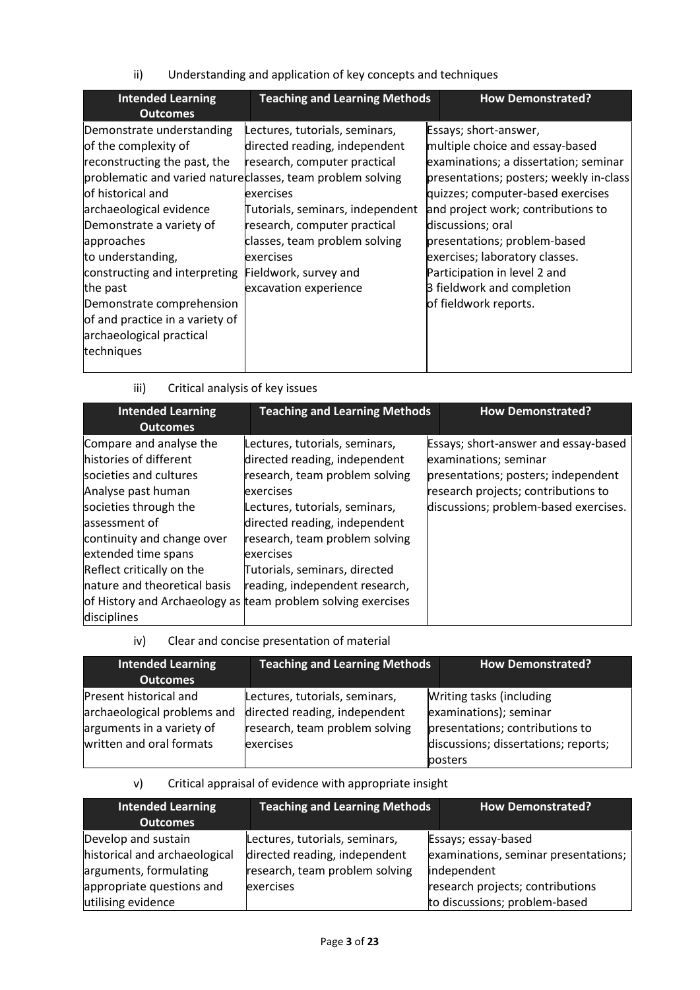ii) Understanding and application of key concepts and techniques

| <b>Intended Learning</b><br><b>Outcomes</b>                                                                                                                                                                                                                                                                                                                                                                            | <b>Teaching and Learning Methods</b>                                                                                                                                                                                                                                             | <b>How Demonstrated?</b>                                                                                                                                                                                                                                                                                                                                                                                     |
|------------------------------------------------------------------------------------------------------------------------------------------------------------------------------------------------------------------------------------------------------------------------------------------------------------------------------------------------------------------------------------------------------------------------|----------------------------------------------------------------------------------------------------------------------------------------------------------------------------------------------------------------------------------------------------------------------------------|--------------------------------------------------------------------------------------------------------------------------------------------------------------------------------------------------------------------------------------------------------------------------------------------------------------------------------------------------------------------------------------------------------------|
| Demonstrate understanding<br>of the complexity of<br>reconstructing the past, the<br>problematic and varied natureclasses, team problem solving<br>lof historical and<br>archaeological evidence<br>Demonstrate a variety of<br>approaches<br>to understanding,<br>constructing and interpreting<br>the past<br>Demonstrate comprehension<br>of and practice in a variety of<br>archaeological practical<br>techniques | Lectures, tutorials, seminars,<br>directed reading, independent<br>research, computer practical<br>exercises<br>Tutorials, seminars, independent<br>research, computer practical<br>classes, team problem solving<br>exercises<br>Fieldwork, survey and<br>excavation experience | Essays; short-answer,<br>multiple choice and essay-based<br>examinations; a dissertation; seminar<br>presentations; posters; weekly in-class<br>quizzes; computer-based exercises<br>and project work; contributions to<br>discussions; oral<br>presentations; problem-based<br>exercises; laboratory classes.<br>Participation in level 2 and<br><b>B</b> fieldwork and completion<br>of fieldwork reports. |

# iii) Critical analysis of key issues

| <b>Intended Learning</b><br><b>Outcomes</b>                                                                                                                                                                                                                                  | <b>Teaching and Learning Methods</b>                                                                                                                                                                                                                                                                                                                                | <b>How Demonstrated?</b>                                                                                                                                                             |
|------------------------------------------------------------------------------------------------------------------------------------------------------------------------------------------------------------------------------------------------------------------------------|---------------------------------------------------------------------------------------------------------------------------------------------------------------------------------------------------------------------------------------------------------------------------------------------------------------------------------------------------------------------|--------------------------------------------------------------------------------------------------------------------------------------------------------------------------------------|
| Compare and analyse the<br>histories of different<br>societies and cultures<br>Analyse past human<br>societies through the<br>assessment of<br>continuity and change over<br>extended time spans<br>Reflect critically on the<br>nature and theoretical basis<br>disciplines | Lectures, tutorials, seminars,<br>directed reading, independent<br>research, team problem solving<br>exercises<br>Lectures, tutorials, seminars,<br>directed reading, independent<br>research, team problem solving<br>exercises<br>Tutorials, seminars, directed<br>reading, independent research,<br>of History and Archaeology as team problem solving exercises | Essays; short-answer and essay-based<br>examinations; seminar<br>presentations; posters; independent<br>research projects; contributions to<br>discussions; problem-based exercises. |

iv) Clear and concise presentation of material

| <b>Intended Learning</b><br><b>Outcomes</b>                                                                    | <b>Teaching and Learning Methods</b>                                                                           | <b>How Demonstrated?</b>                                                                                                                 |
|----------------------------------------------------------------------------------------------------------------|----------------------------------------------------------------------------------------------------------------|------------------------------------------------------------------------------------------------------------------------------------------|
| Present historical and<br>archaeological problems and<br>arguments in a variety of<br>written and oral formats | Lectures, tutorials, seminars,<br>directed reading, independent<br>research, team problem solving<br>exercises | Writing tasks (including<br>examinations); seminar<br>presentations; contributions to<br>discussions; dissertations; reports;<br>posters |

### v) Critical appraisal of evidence with appropriate insight

| <b>Intended Learning</b>      | <b>Teaching and Learning Methods</b> | <b>How Demonstrated?</b>             |  |
|-------------------------------|--------------------------------------|--------------------------------------|--|
| <b>Outcomes</b>               |                                      |                                      |  |
| Develop and sustain           | Lectures, tutorials, seminars,       | Essays; essay-based                  |  |
| historical and archaeological | directed reading, independent        | examinations, seminar presentations; |  |
| arguments, formulating        | research, team problem solving       | independent                          |  |
| appropriate questions and     | exercises                            | research projects; contributions     |  |
| utilising evidence            |                                      | to discussions; problem-based        |  |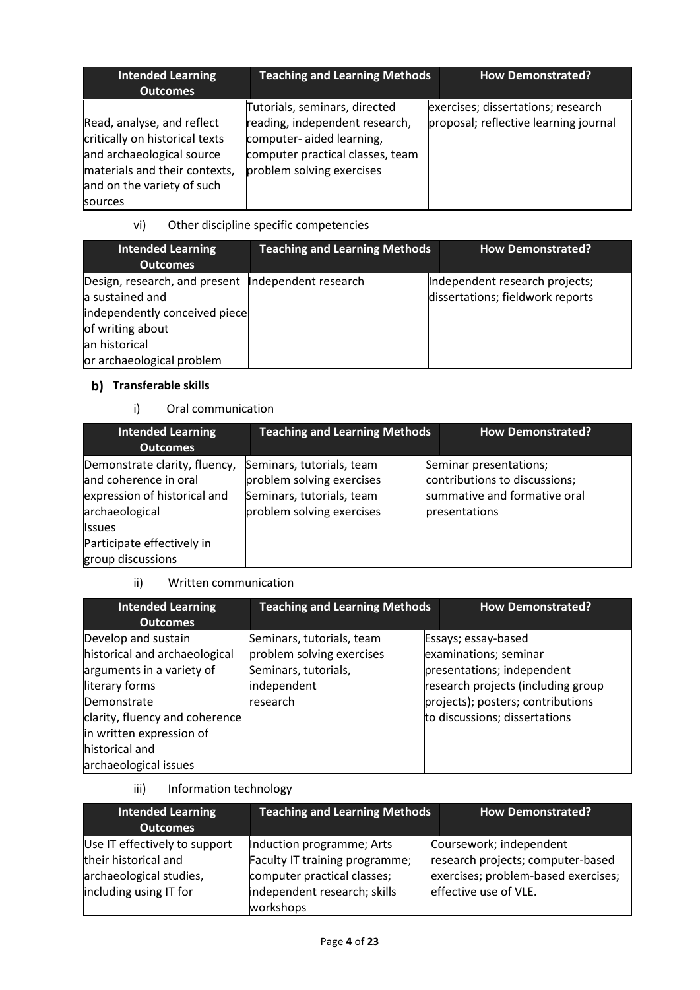| <b>Intended Learning</b><br><b>Outcomes</b>                                                                                                                         | <b>Teaching and Learning Methods</b>                                                                                                                          | <b>How Demonstrated?</b>                                                    |
|---------------------------------------------------------------------------------------------------------------------------------------------------------------------|---------------------------------------------------------------------------------------------------------------------------------------------------------------|-----------------------------------------------------------------------------|
| Read, analyse, and reflect<br>critically on historical texts<br>and archaeological source<br>materials and their contexts,<br>and on the variety of such<br>sources | Tutorials, seminars, directed<br>reading, independent research,<br>computer- aided learning,<br>computer practical classes, team<br>problem solving exercises | exercises; dissertations; research<br>proposal; reflective learning journal |

# vi) Other discipline specific competencies

| <b>Intended Learning</b><br><b>Outcomes</b>                                                                                                                                | <b>Teaching and Learning Methods</b> | <b>How Demonstrated?</b>                                           |
|----------------------------------------------------------------------------------------------------------------------------------------------------------------------------|--------------------------------------|--------------------------------------------------------------------|
| Design, research, and present  Independent research<br>a sustained and<br>independently conceived piece<br>of writing about<br>lan historical<br>or archaeological problem |                                      | Independent research projects;<br>dissertations; fieldwork reports |

# **b)** Transferable skills

# i) Oral communication

| <b>Intended Learning</b><br><b>Outcomes</b>                                                              | <b>Teaching and Learning Methods</b>                                                                             | <b>How Demonstrated?</b>                                                                                 |
|----------------------------------------------------------------------------------------------------------|------------------------------------------------------------------------------------------------------------------|----------------------------------------------------------------------------------------------------------|
| Demonstrate clarity, fluency,<br>and coherence in oral<br>expression of historical and<br>archaeological | Seminars, tutorials, team<br>problem solving exercises<br>Seminars, tutorials, team<br>problem solving exercises | Seminar presentations;<br>contributions to discussions;<br>summative and formative oral<br>presentations |
| <b>I</b> ssues<br>Participate effectively in<br>group discussions                                        |                                                                                                                  |                                                                                                          |

# ii) Written communication

| <b>Intended Learning</b><br><b>Outcomes</b>                                                                                                                                                                                 | <b>Teaching and Learning Methods</b>                                                                      | <b>How Demonstrated?</b>                                                                                                                                                               |
|-----------------------------------------------------------------------------------------------------------------------------------------------------------------------------------------------------------------------------|-----------------------------------------------------------------------------------------------------------|----------------------------------------------------------------------------------------------------------------------------------------------------------------------------------------|
| Develop and sustain<br>historical and archaeological<br>arguments in a variety of<br>literary forms<br>Demonstrate<br>clarity, fluency and coherence<br>in written expression of<br>historical and<br>archaeological issues | Seminars, tutorials, team<br>problem solving exercises<br>Seminars, tutorials,<br>independent<br>research | Essays; essay-based<br>examinations; seminar<br>presentations; independent<br>research projects (including group<br>projects); posters; contributions<br>to discussions; dissertations |

# iii) Information technology

| <b>Intended Learning</b><br><b>Outcomes</b>                                                                | <b>Teaching and Learning Methods</b>                                                                                                    | <b>How Demonstrated?</b>                                                                                                     |
|------------------------------------------------------------------------------------------------------------|-----------------------------------------------------------------------------------------------------------------------------------------|------------------------------------------------------------------------------------------------------------------------------|
| Use IT effectively to support<br>their historical and<br>archaeological studies,<br>including using IT for | Induction programme; Arts<br>Faculty IT training programme;<br>computer practical classes;<br>independent research; skills<br>workshops | Coursework; independent<br>research projects; computer-based<br>exercises; problem-based exercises;<br>effective use of VLE. |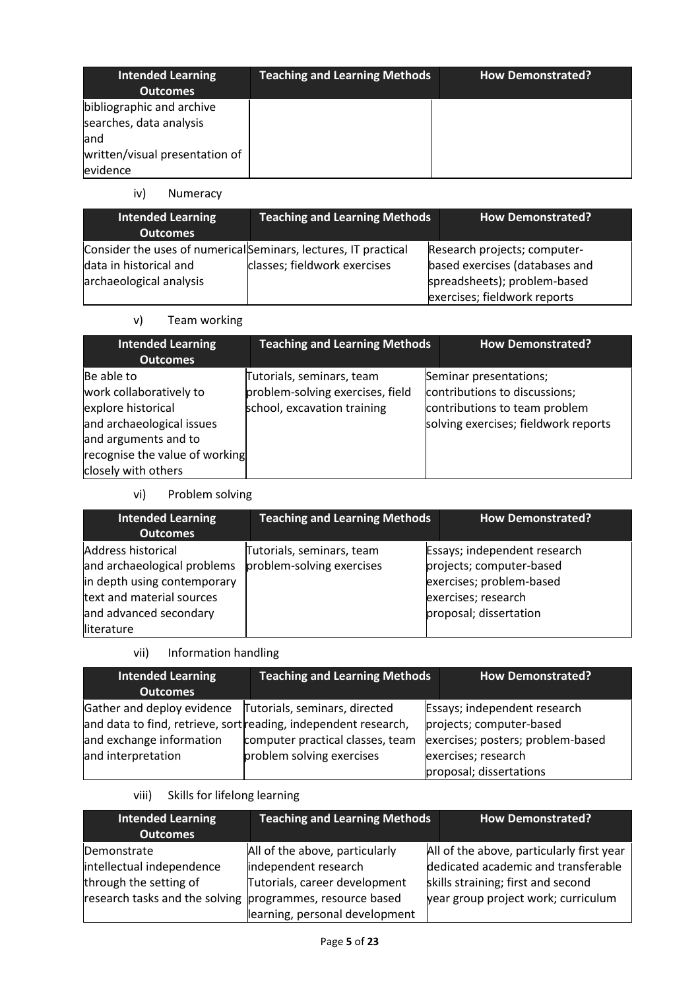| <b>Intended Learning</b><br><b>Outcomes</b>                                                                | <b>Teaching and Learning Methods</b> | <b>How Demonstrated?</b> |
|------------------------------------------------------------------------------------------------------------|--------------------------------------|--------------------------|
| bibliographic and archive<br>searches, data analysis<br>land<br>written/visual presentation of<br>evidence |                                      |                          |

iv) Numeracy

| <b>Intended Learning</b><br><b>Outcomes</b>                                                                          | <b>Teaching and Learning Methods</b> | <b>How Demonstrated?</b>                                                                       |
|----------------------------------------------------------------------------------------------------------------------|--------------------------------------|------------------------------------------------------------------------------------------------|
| Consider the uses of numerical Seminars, lectures, IT practical<br>data in historical and<br>archaeological analysis | classes; fieldwork exercises         | Research projects; computer-<br>based exercises (databases and<br>spreadsheets); problem-based |
|                                                                                                                      |                                      | exercises; fieldwork reports                                                                   |

v) Team working

| <b>Intended Learning</b><br><b>Outcomes</b>                                                                                                                               | <b>Teaching and Learning Methods</b>                                                         | <b>How Demonstrated?</b>                                                                                                         |
|---------------------------------------------------------------------------------------------------------------------------------------------------------------------------|----------------------------------------------------------------------------------------------|----------------------------------------------------------------------------------------------------------------------------------|
| Be able to<br>work collaboratively to<br>explore historical<br>and archaeological issues<br>and arguments and to<br>recognise the value of working<br>closely with others | Tutorials, seminars, team<br>problem-solving exercises, field<br>school, excavation training | Seminar presentations;<br>contributions to discussions;<br>contributions to team problem<br>solving exercises; fieldwork reports |

vi) Problem solving

| <b>Intended Learning</b><br><b>Outcomes</b>                                                                                                           | <b>Teaching and Learning Methods</b>                   | <b>How Demonstrated?</b>                                                                                                              |
|-------------------------------------------------------------------------------------------------------------------------------------------------------|--------------------------------------------------------|---------------------------------------------------------------------------------------------------------------------------------------|
| Address historical<br>and archaeological problems<br>in depth using contemporary<br>text and material sources<br>and advanced secondary<br>literature | Tutorials, seminars, team<br>problem-solving exercises | Essays; independent research<br>projects; computer-based<br>exercises; problem-based<br>exercises; research<br>proposal; dissertation |

vii) Information handling

| <b>Intended Learning</b><br><b>Outcomes</b>                                  | <b>Teaching and Learning Methods</b>                                                                                                                              | <b>How Demonstrated?</b>                                                                                                                        |
|------------------------------------------------------------------------------|-------------------------------------------------------------------------------------------------------------------------------------------------------------------|-------------------------------------------------------------------------------------------------------------------------------------------------|
| Gather and deploy evidence<br>and exchange information<br>and interpretation | Tutorials, seminars, directed<br>and data to find, retrieve, sort reading, independent research,<br>computer practical classes, team<br>problem solving exercises | Essays; independent research<br>projects; computer-based<br>exercises; posters; problem-based<br>exercises; research<br>proposal; dissertations |

viii) Skills for lifelong learning

| <b>Intended Learning</b>                                  | <b>Teaching and Learning Methods</b> | <b>How Demonstrated?</b>                  |  |
|-----------------------------------------------------------|--------------------------------------|-------------------------------------------|--|
| <b>Outcomes</b>                                           |                                      |                                           |  |
| Demonstrate                                               | All of the above, particularly       | All of the above, particularly first year |  |
| intellectual independence                                 | independent research                 | dedicated academic and transferable       |  |
| through the setting of                                    | Tutorials, career development        | skills straining; first and second        |  |
| research tasks and the solving programmes, resource based |                                      | year group project work; curriculum       |  |
|                                                           | learning, personal development       |                                           |  |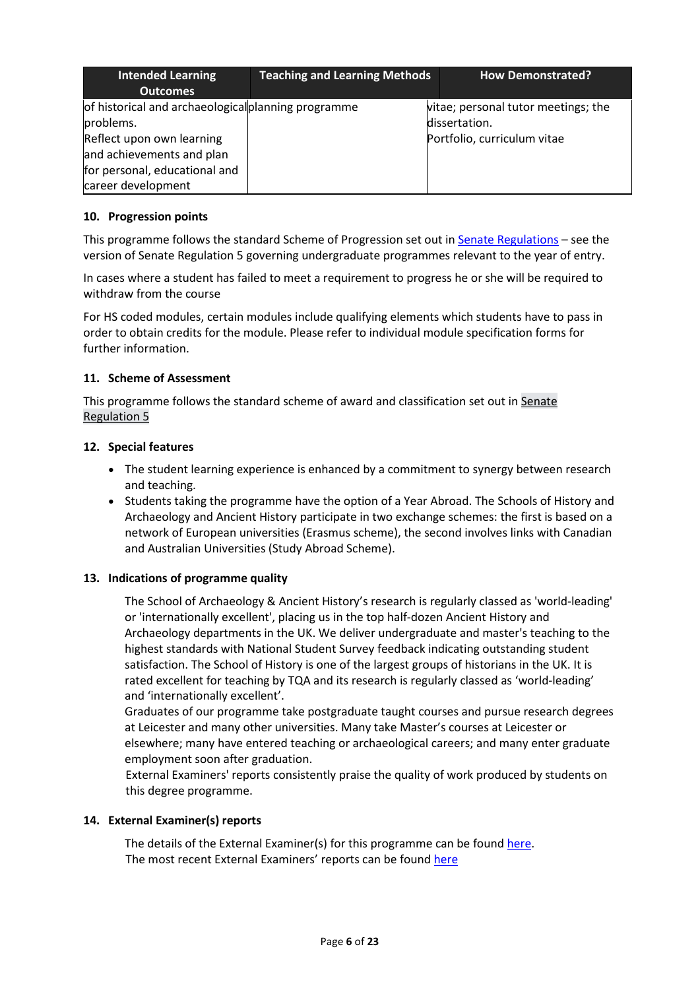| <b>Intended Learning</b><br><b>Outcomes</b>                                                                                                                                       | <b>Teaching and Learning Methods</b> | <b>How Demonstrated?</b>                                                            |
|-----------------------------------------------------------------------------------------------------------------------------------------------------------------------------------|--------------------------------------|-------------------------------------------------------------------------------------|
| of historical and archaeological planning programme<br>problems.<br>Reflect upon own learning<br>and achievements and plan<br>for personal, educational and<br>career development |                                      | vitae; personal tutor meetings; the<br>dissertation.<br>Portfolio, curriculum vitae |

### **10. Progression points**

This programme follows the standard Scheme of Progression set out i[n Senate Regulations](http://www.le.ac.uk/senate-regulations) – see the version of Senate Regulation 5 governing undergraduate programmes relevant to the year of entry.

In cases where a student has failed to meet a requirement to progress he or she will be required to withdraw from the course

For HS coded modules, certain modules include qualifying elements which students have to pass in order to obtain credits for the module. Please refer to individual module specification forms for further information.

### **11. Scheme of Assessment**

This programme follows the standard scheme of award and classification set out in [Senate](http://www2.le.ac.uk/offices/sas2/regulations/documents/senatereg5-undergraduates) [Regulation 5](https://le.ac.uk/policies/regulations/senate-regulations/senate-regulation-5)

### **12. Special features**

- The student learning experience is enhanced by a commitment to synergy between research and teaching.
- Students taking the programme have the option of a Year Abroad. The Schools of History and Archaeology and Ancient History participate in two exchange schemes: the first is based on a network of European universities (Erasmus scheme), the second involves links with Canadian and Australian Universities (Study Abroad Scheme).

### **13. Indications of programme quality**

The School of Archaeology & Ancient History's research is regularly classed as 'world-leading' or 'internationally excellent', placing us in the top half-dozen Ancient History and Archaeology departments in the UK. We deliver undergraduate and master's teaching to the highest standards with National Student Survey feedback indicating outstanding student satisfaction. The School of History is one of the largest groups of historians in the UK. It is rated excellent for teaching by TQA and its research is regularly classed as 'world-leading' and 'internationally excellent'.

Graduates of our programme take postgraduate taught courses and pursue research degrees at Leicester and many other universities. Many take Master's courses at Leicester or elsewhere; many have entered teaching or archaeological careers; and many enter graduate employment soon after graduation.

External Examiners' reports consistently praise the quality of work produced by students on this degree programme.

### **14. External Examiner(s) reports**

The details of the External Examiner(s) for this programme can be found [here.](https://www2.le.ac.uk/offices/sas2/assessments/external/current-undergraduate) The most recent External Examiners' reports can be found [here](https://exampapers.le.ac.uk/xmlui/)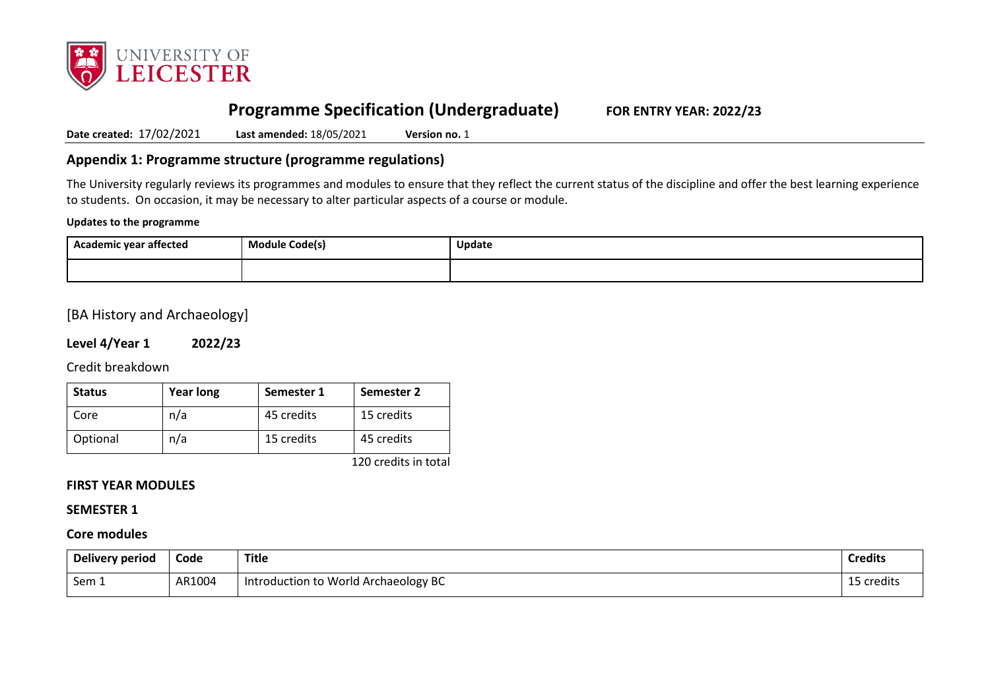

# **Programme Specification (Undergraduate) FOR ENTRY YEAR: 2022/23**

**Date created:** 17/02/2021 **Last amended:** 18/05/2021 **Version no.** 1

# **Appendix 1: Programme structure (programme regulations)**

The University regularly reviews its programmes and modules to ensure that they reflect the current status of the discipline and offer the best learning experience to students. On occasion, it may be necessary to alter particular aspects of a course or module.

#### **Updates to the programme**

| <br>Academic year affected | <b>Module Code(s)</b> | Update |
|----------------------------|-----------------------|--------|
|                            |                       |        |

### [BA History and Archaeology]

### **Level 4/Year 1 2022/23**

Credit breakdown

| <b>Status</b> | <b>Year long</b> | Semester 1 | Semester 2 |
|---------------|------------------|------------|------------|
| Core          | n/a              | 45 credits | 15 credits |
| Optional      | n/a              | 15 credits | 45 credits |

120 credits in total

### **FIRST YEAR MODULES**

#### **SEMESTER 1**

### **Core modules**

| Delivery period | Code   | <b>Title</b>                         | <b>Credits</b> |
|-----------------|--------|--------------------------------------|----------------|
| Sem 1           | AR1004 | Introduction to World Archaeology BC | 15 credits     |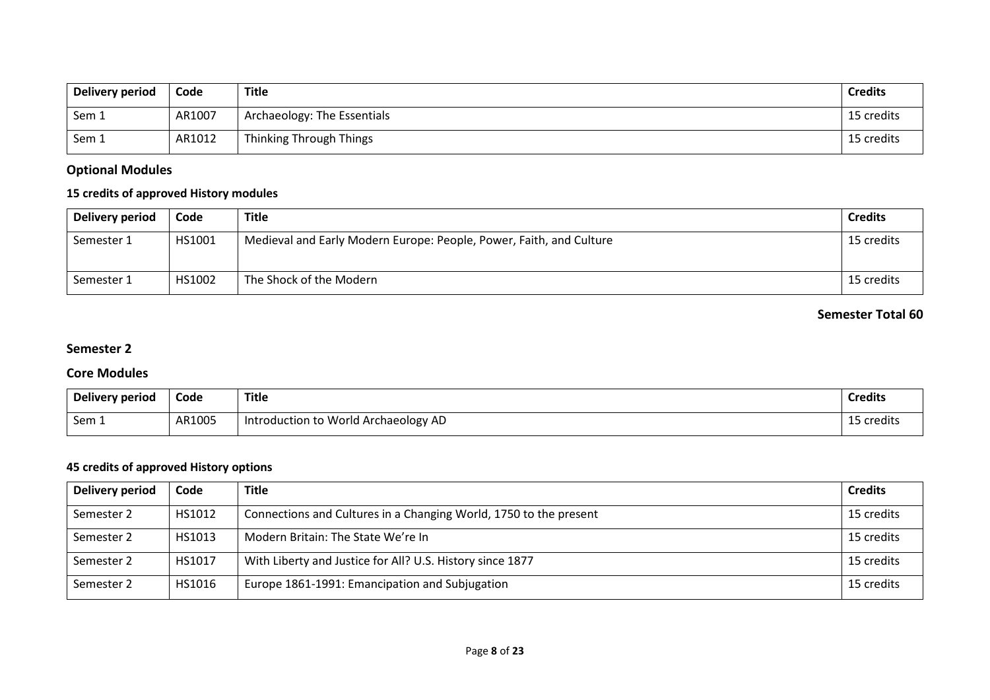| Delivery period | Code   | Title                       | <b>Credits</b> |
|-----------------|--------|-----------------------------|----------------|
| Sem 1           | AR1007 | Archaeology: The Essentials | 15 credits     |
| Sem 1           | AR1012 | Thinking Through Things     | 15 credits     |

# **Optional Modules**

# **15 credits of approved History modules**

| Delivery period | Code   | <b>Title</b>                                                        | <b>Credits</b> |
|-----------------|--------|---------------------------------------------------------------------|----------------|
| Semester 1      | HS1001 | Medieval and Early Modern Europe: People, Power, Faith, and Culture | 15 credits     |
| Semester 1      | HS1002 | The Shock of the Modern                                             | 15 credits     |

# **Semester Total 60**

# **Semester 2**

### **Core Modules**

| Delivery period | Code   | Title                                | <b>Credits</b> |
|-----------------|--------|--------------------------------------|----------------|
| Sem 1           | AR1005 | Introduction to World Archaeology AD | 15 credits     |

### **45 credits of approved History options**

| <b>Delivery period</b> | Code   | <b>Title</b>                                                      | <b>Credits</b> |
|------------------------|--------|-------------------------------------------------------------------|----------------|
| Semester 2             | HS1012 | Connections and Cultures in a Changing World, 1750 to the present | 15 credits     |
| Semester 2             | HS1013 | Modern Britain: The State We're In                                | 15 credits     |
| Semester 2             | HS1017 | With Liberty and Justice for All? U.S. History since 1877         | 15 credits     |
| Semester 2             | HS1016 | Europe 1861-1991: Emancipation and Subjugation                    | 15 credits     |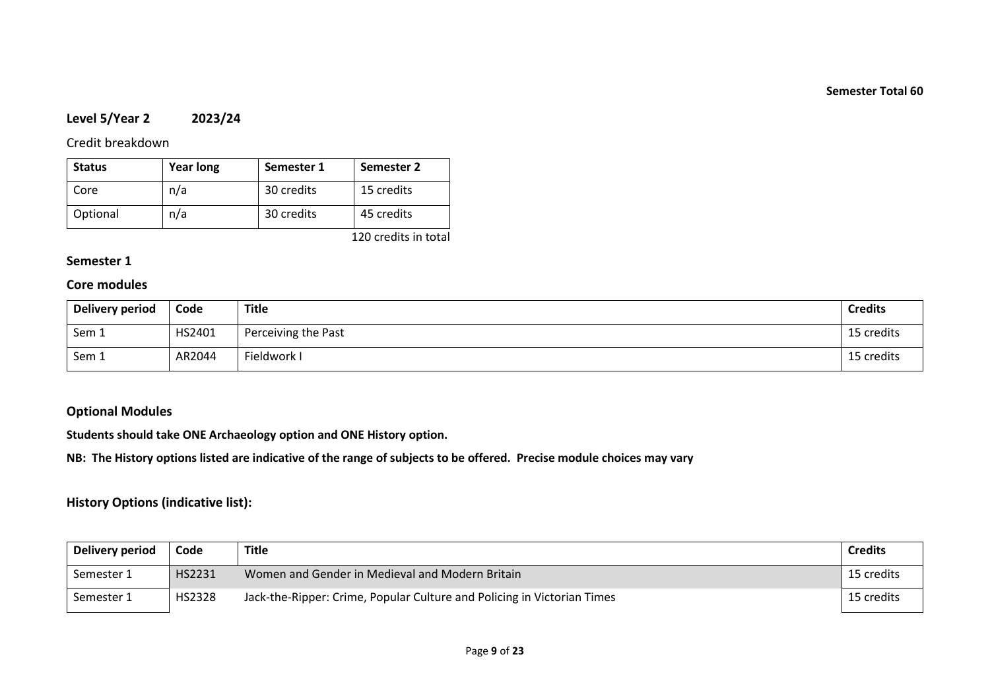# **Level 5/Year 2 2023/24**

Credit breakdown

| <b>Status</b> | <b>Year long</b> | Semester 1 | Semester 2 |
|---------------|------------------|------------|------------|
| Core          | n/a              | 30 credits | 15 credits |
| Optional      | n/a              | 30 credits | 45 credits |

120 credits in total

# **Semester 1**

# **Core modules**

| Delivery period | Code   | Title               | <b>Credits</b> |
|-----------------|--------|---------------------|----------------|
| Sem 1           | HS2401 | Perceiving the Past | 15 credits     |
| Sem 1           | AR2044 | Fieldwork I         | 15 credits     |

### **Optional Modules**

**Students should take ONE Archaeology option and ONE History option.**

**NB: The History options listed are indicative of the range of subjects to be offered. Precise module choices may vary**

# **History Options (indicative list):**

| Delivery period | Code   | <b>Title</b>                                                            | <b>Credits</b> |
|-----------------|--------|-------------------------------------------------------------------------|----------------|
| Semester 1      | HS2231 | Women and Gender in Medieval and Modern Britain                         | 15 credits     |
| Semester 1      | HS2328 | Jack-the-Ripper: Crime, Popular Culture and Policing in Victorian Times | 15 credits     |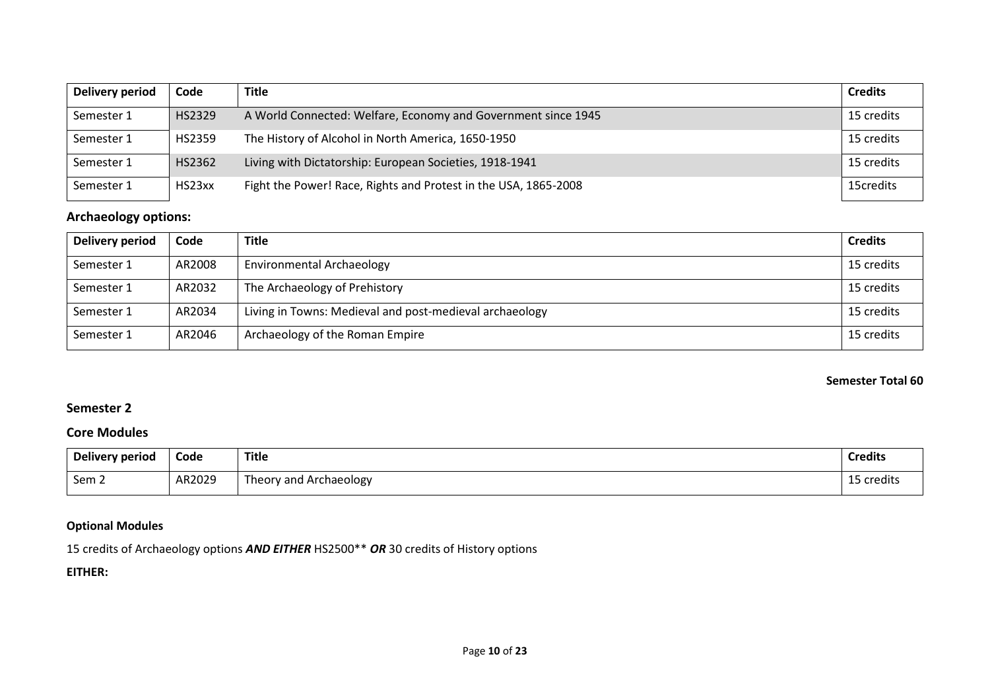| Delivery period | Code   | <b>Title</b>                                                    | <b>Credits</b> |
|-----------------|--------|-----------------------------------------------------------------|----------------|
| Semester 1      | HS2329 | A World Connected: Welfare, Economy and Government since 1945   | 15 credits     |
| Semester 1      | HS2359 | The History of Alcohol in North America, 1650-1950              | 15 credits     |
| Semester 1      | HS2362 | Living with Dictatorship: European Societies, 1918-1941         | 15 credits     |
| Semester 1      | HS23xx | Fight the Power! Race, Rights and Protest in the USA, 1865-2008 | 15credits      |

# **Archaeology options:**

| <b>Delivery period</b> | Code   | <b>Title</b>                                            | <b>Credits</b> |
|------------------------|--------|---------------------------------------------------------|----------------|
| Semester 1             | AR2008 | <b>Environmental Archaeology</b>                        | 15 credits     |
| Semester 1             | AR2032 | The Archaeology of Prehistory                           | 15 credits     |
| Semester 1             | AR2034 | Living in Towns: Medieval and post-medieval archaeology | 15 credits     |
| Semester 1             | AR2046 | Archaeology of the Roman Empire                         | 15 credits     |

**Semester Total 60**

# **Semester 2**

### **Core Modules**

| Delivery period  | Code   | <b>Title</b>           | <b>Credits</b> |
|------------------|--------|------------------------|----------------|
| Sem <sub>2</sub> | AR2029 | Theory and Archaeology | 15 credits     |

## **Optional Modules**

15 credits of Archaeology options *AND EITHER* HS2500\*\* *OR* 30 credits of History options

# **EITHER:**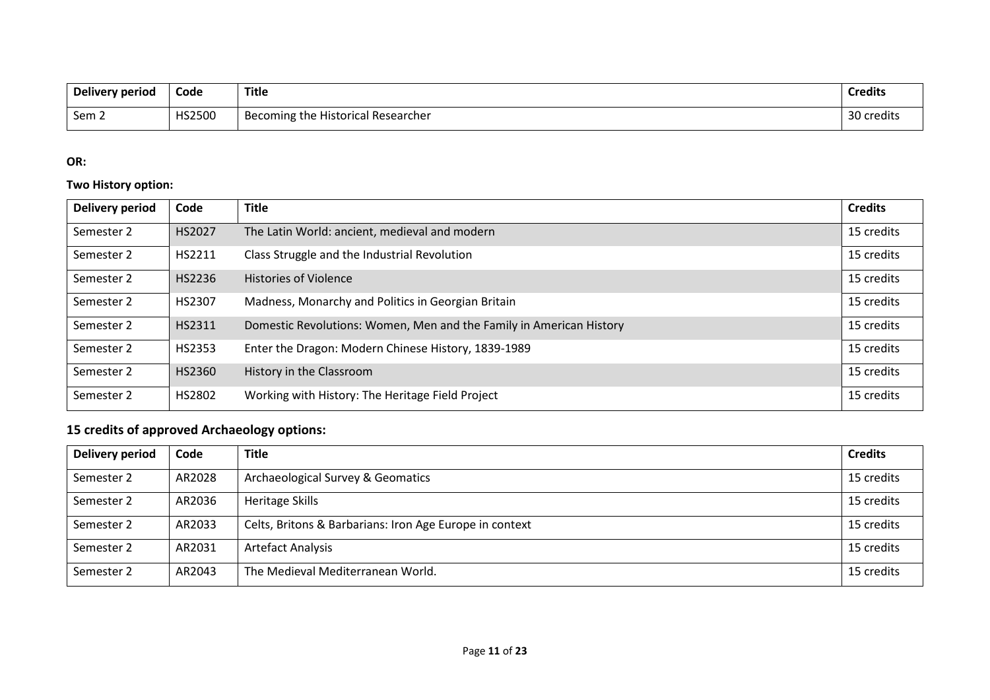| Delivery period | Code   | Title                              | <b>Credits</b> |
|-----------------|--------|------------------------------------|----------------|
| Sem 2           | HS2500 | Becoming the Historical Researcher | 30 credits     |

# **OR:**

## **Two History option:**

| <b>Delivery period</b> | Code   | <b>Title</b>                                                        | <b>Credits</b> |
|------------------------|--------|---------------------------------------------------------------------|----------------|
| Semester 2             | HS2027 | The Latin World: ancient, medieval and modern                       | 15 credits     |
| Semester 2             | HS2211 | Class Struggle and the Industrial Revolution                        | 15 credits     |
| Semester 2             | HS2236 | <b>Histories of Violence</b>                                        | 15 credits     |
| Semester 2             | HS2307 | Madness, Monarchy and Politics in Georgian Britain                  | 15 credits     |
| Semester 2             | HS2311 | Domestic Revolutions: Women, Men and the Family in American History | 15 credits     |
| Semester 2             | HS2353 | Enter the Dragon: Modern Chinese History, 1839-1989                 | 15 credits     |
| Semester 2             | HS2360 | History in the Classroom                                            | 15 credits     |
| Semester 2             | HS2802 | Working with History: The Heritage Field Project                    | 15 credits     |

# **15 credits of approved Archaeology options:**

| <b>Delivery period</b> | Code   | <b>Title</b>                                            | <b>Credits</b> |
|------------------------|--------|---------------------------------------------------------|----------------|
| Semester 2             | AR2028 | Archaeological Survey & Geomatics                       | 15 credits     |
| Semester 2             | AR2036 | Heritage Skills                                         | 15 credits     |
| Semester 2             | AR2033 | Celts, Britons & Barbarians: Iron Age Europe in context | 15 credits     |
| Semester 2             | AR2031 | <b>Artefact Analysis</b>                                | 15 credits     |
| Semester 2             | AR2043 | The Medieval Mediterranean World.                       | 15 credits     |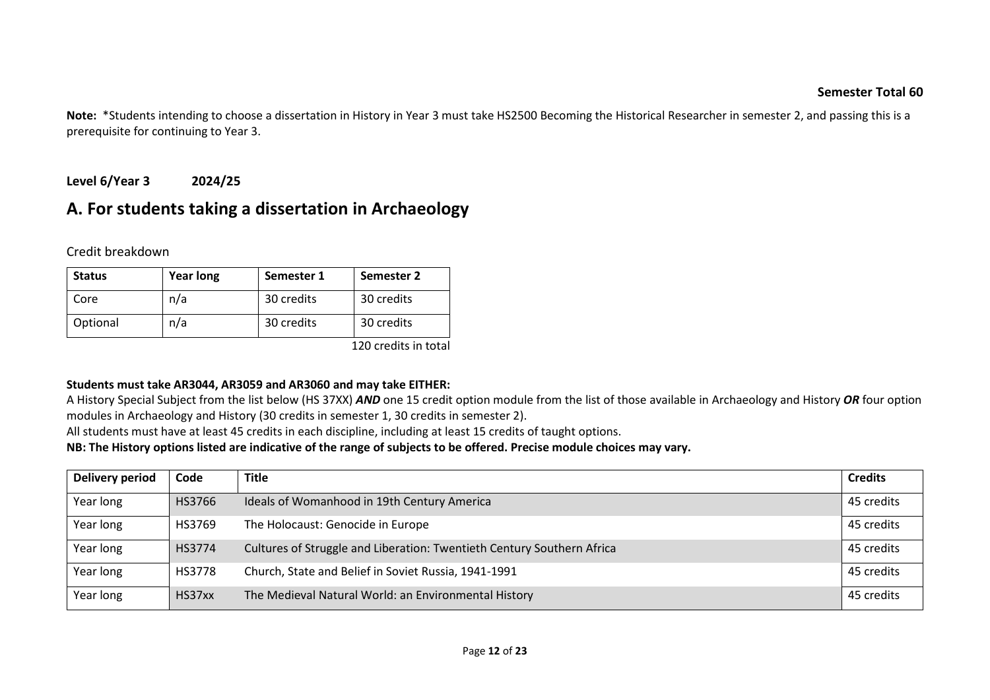**Note:** \*Students intending to choose a dissertation in History in Year 3 must take HS2500 Becoming the Historical Researcher in semester 2, and passing this is a prerequisite for continuing to Year 3.

# **Level 6/Year 3 2024/25**

# **A. For students taking a dissertation in Archaeology**

Credit breakdown

| <b>Status</b> | <b>Year long</b> | Semester 1 | Semester 2 |
|---------------|------------------|------------|------------|
| Core          | n/a              | 30 credits | 30 credits |
| Optional      | n/a              | 30 credits | 30 credits |

120 credits in total

### **Students must take AR3044, AR3059 and AR3060 and may take EITHER:**

A History Special Subject from the list below (HS 37XX) *AND* one 15 credit option module from the list of those available in Archaeology and History *OR* four option modules in Archaeology and History (30 credits in semester 1, 30 credits in semester 2).

All students must have at least 45 credits in each discipline, including at least 15 credits of taught options.

**NB: The History options listed are indicative of the range of subjects to be offered. Precise module choices may vary.**

| <b>Delivery period</b> | Code   | <b>Title</b>                                                           | <b>Credits</b> |
|------------------------|--------|------------------------------------------------------------------------|----------------|
| Year long              | HS3766 | Ideals of Womanhood in 19th Century America                            | 45 credits     |
| Year long              | HS3769 | The Holocaust: Genocide in Europe                                      | 45 credits     |
| Year long              | HS3774 | Cultures of Struggle and Liberation: Twentieth Century Southern Africa | 45 credits     |
| Year long              | HS3778 | Church, State and Belief in Soviet Russia, 1941-1991                   | 45 credits     |
| Year long              | HS37xx | The Medieval Natural World: an Environmental History                   | 45 credits     |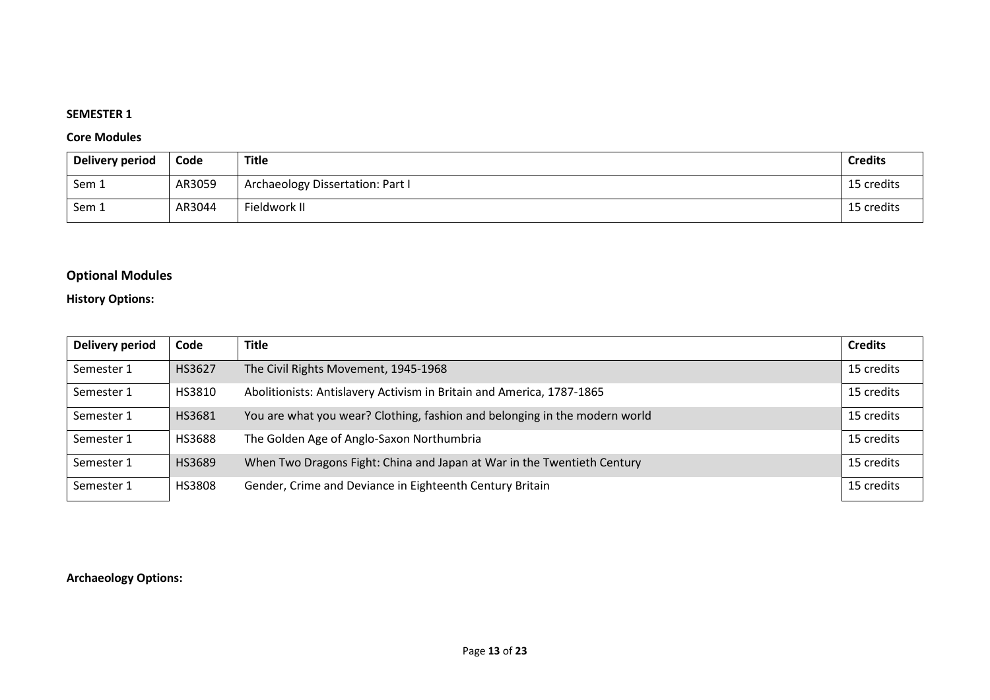### **SEMESTER 1**

### **Core Modules**

| Delivery period | Code   | <b>Title</b>                     | <b>Credits</b> |
|-----------------|--------|----------------------------------|----------------|
| Sem 1           | AR3059 | Archaeology Dissertation: Part I | 15 credits     |
| Sem 1           | AR3044 | Fieldwork II                     | 15 credits     |

# **Optional Modules**

## **History Options:**

| <b>Delivery period</b> | Code   | <b>Title</b>                                                               | <b>Credits</b> |
|------------------------|--------|----------------------------------------------------------------------------|----------------|
| Semester 1             | HS3627 | The Civil Rights Movement, 1945-1968                                       | 15 credits     |
| Semester 1             | HS3810 | Abolitionists: Antislavery Activism in Britain and America, 1787-1865      | 15 credits     |
| Semester 1             | HS3681 | You are what you wear? Clothing, fashion and belonging in the modern world | 15 credits     |
| Semester 1             | HS3688 | The Golden Age of Anglo-Saxon Northumbria                                  | 15 credits     |
| Semester 1             | HS3689 | When Two Dragons Fight: China and Japan at War in the Twentieth Century    | 15 credits     |
| Semester 1             | HS3808 | Gender, Crime and Deviance in Eighteenth Century Britain                   | 15 credits     |

### **Archaeology Options:**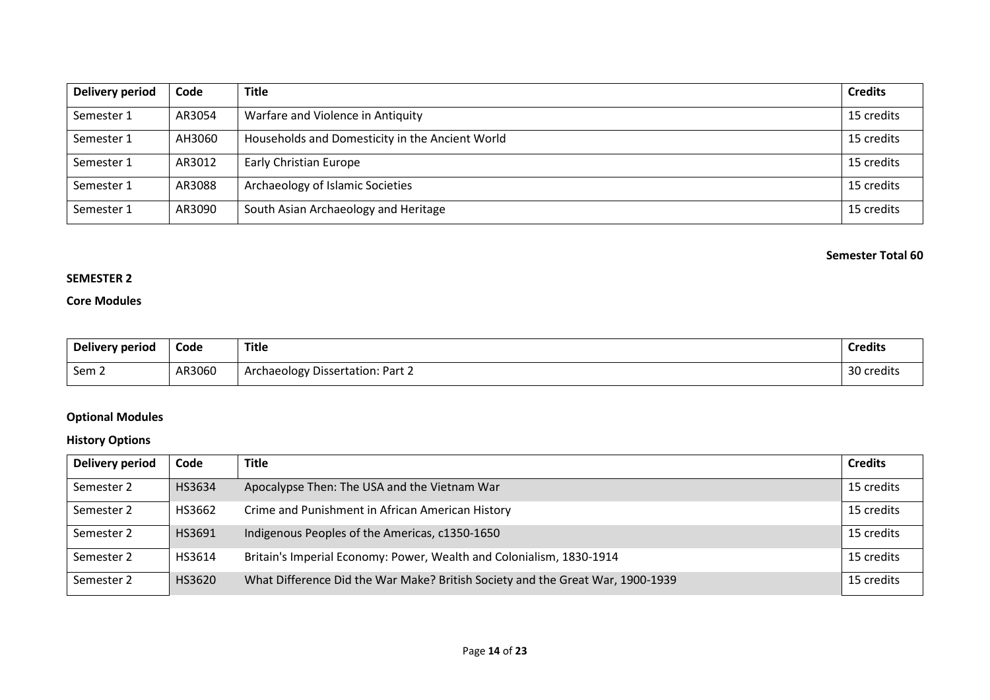| Delivery period | Code   | <b>Title</b>                                    | <b>Credits</b> |
|-----------------|--------|-------------------------------------------------|----------------|
| Semester 1      | AR3054 | Warfare and Violence in Antiquity               | 15 credits     |
| Semester 1      | AH3060 | Households and Domesticity in the Ancient World | 15 credits     |
| Semester 1      | AR3012 | <b>Early Christian Europe</b>                   | 15 credits     |
| Semester 1      | AR3088 | Archaeology of Islamic Societies                | 15 credits     |
| Semester 1      | AR3090 | South Asian Archaeology and Heritage            | 15 credits     |

### **SEMESTER 2**

### **Core Modules**

| Delivery period  | Code   | <b>Title</b>                     | <b>Credits</b> |
|------------------|--------|----------------------------------|----------------|
| Sem <sub>2</sub> | AR3060 | Archaeology Dissertation: Part 2 | 30<br>`credits |

# **Optional Modules**

## **History Options**

| <b>Delivery period</b> | Code   | <b>Title</b>                                                                   | <b>Credits</b> |
|------------------------|--------|--------------------------------------------------------------------------------|----------------|
| Semester 2             | HS3634 | Apocalypse Then: The USA and the Vietnam War                                   | 15 credits     |
| Semester 2             | HS3662 | Crime and Punishment in African American History                               | 15 credits     |
| Semester 2             | HS3691 | Indigenous Peoples of the Americas, c1350-1650                                 | 15 credits     |
| Semester 2             | HS3614 | Britain's Imperial Economy: Power, Wealth and Colonialism, 1830-1914           | 15 credits     |
| Semester 2             | HS3620 | What Difference Did the War Make? British Society and the Great War, 1900-1939 | 15 credits     |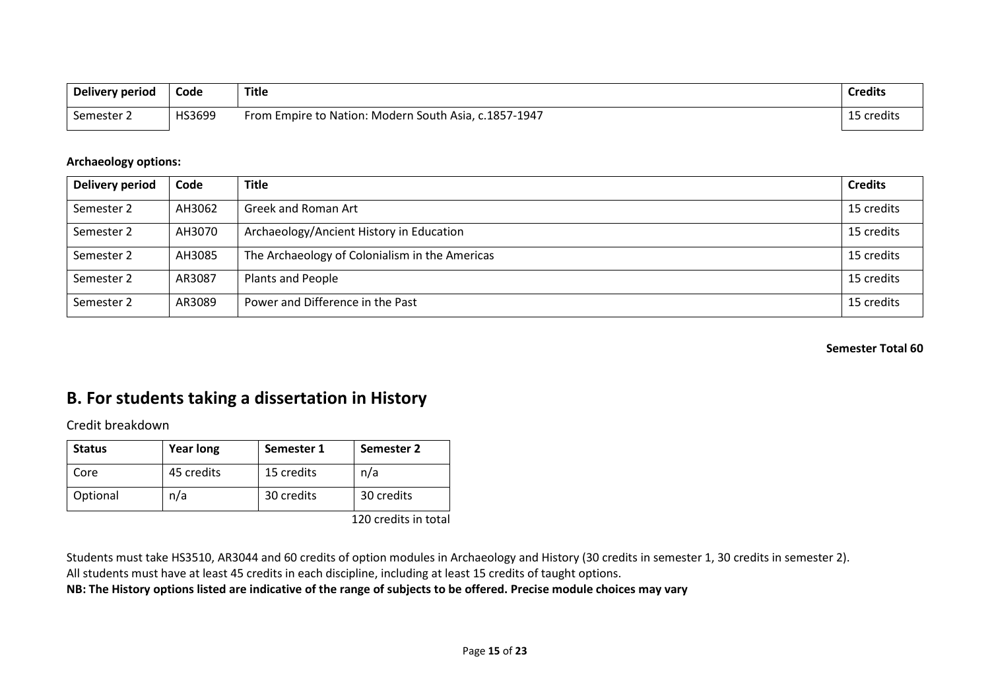| Delivery period | Code   | Title                                                 | <b>Credits</b> |
|-----------------|--------|-------------------------------------------------------|----------------|
| Semester 2      | HS3699 | From Empire to Nation: Modern South Asia, c.1857-1947 | 15 credits     |

### **Archaeology options:**

| Delivery period | Code   | <b>Title</b>                                   | <b>Credits</b> |
|-----------------|--------|------------------------------------------------|----------------|
| Semester 2      | AH3062 | <b>Greek and Roman Art</b>                     | 15 credits     |
| Semester 2      | AH3070 | Archaeology/Ancient History in Education       | 15 credits     |
| Semester 2      | AH3085 | The Archaeology of Colonialism in the Americas | 15 credits     |
| Semester 2      | AR3087 | <b>Plants and People</b>                       | 15 credits     |
| Semester 2      | AR3089 | Power and Difference in the Past               | 15 credits     |

#### **Semester Total 60**

# **B. For students taking a dissertation in History**

Credit breakdown

| <b>Status</b> | <b>Year long</b> | Semester 1 | Semester 2                                            |
|---------------|------------------|------------|-------------------------------------------------------|
| Core          | 45 credits       | 15 credits | n/a                                                   |
| Optional      | n/a              | 30 credits | 30 credits                                            |
|               |                  |            | $1.20 \pm 0.00$ and $1.1 \pm 0.00$ and $1.1 \pm 0.00$ |

120 credits in total

Students must take HS3510, AR3044 and 60 credits of option modules in Archaeology and History (30 credits in semester 1, 30 credits in semester 2). All students must have at least 45 credits in each discipline, including at least 15 credits of taught options.

**NB: The History options listed are indicative of the range of subjects to be offered. Precise module choices may vary**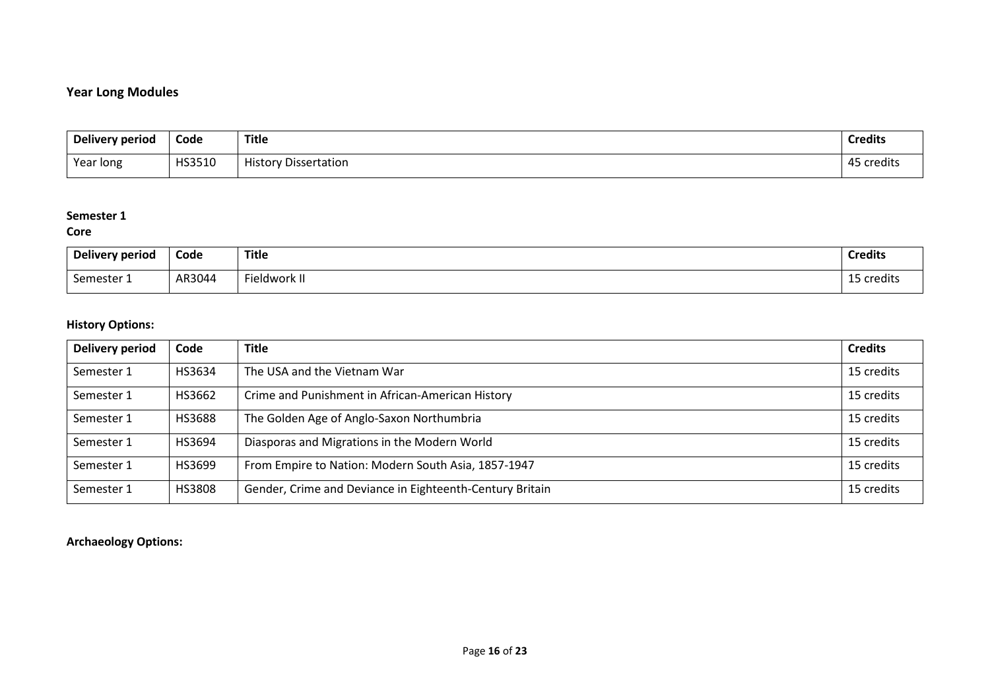# **Year Long Modules**

| Delivery period | Code   | <b>Title</b>                | <b>Credits</b>     |
|-----------------|--------|-----------------------------|--------------------|
| Year long       | HS3510 | <b>History Dissertation</b> | .<br>45<br>credits |

### **Semester 1**

### **Core**

| Delivery period | Code   | <b>Title</b>             | <b>Credits</b>                        |
|-----------------|--------|--------------------------|---------------------------------------|
| Semester 1      | AR3044 | <sup>c</sup> ieldwork II | $\sim$ $\sim$<br>.<br>i credits<br>-- |

# **History Options:**

| Delivery period | Code   | <b>Title</b>                                             | <b>Credits</b> |
|-----------------|--------|----------------------------------------------------------|----------------|
| Semester 1      | HS3634 | The USA and the Vietnam War                              | 15 credits     |
| Semester 1      | HS3662 | Crime and Punishment in African-American History         | 15 credits     |
| Semester 1      | HS3688 | The Golden Age of Anglo-Saxon Northumbria                | 15 credits     |
| Semester 1      | HS3694 | Diasporas and Migrations in the Modern World             | 15 credits     |
| Semester 1      | HS3699 | From Empire to Nation: Modern South Asia, 1857-1947      | 15 credits     |
| Semester 1      | HS3808 | Gender, Crime and Deviance in Eighteenth-Century Britain | 15 credits     |

# **Archaeology Options:**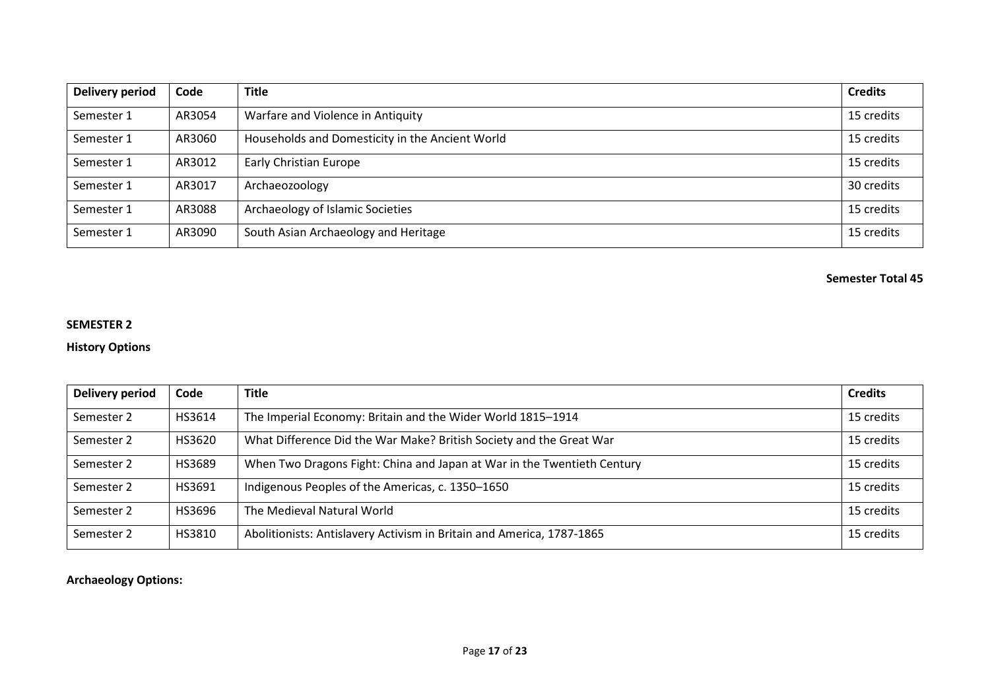| Delivery period | Code   | <b>Title</b>                                    | <b>Credits</b> |
|-----------------|--------|-------------------------------------------------|----------------|
| Semester 1      | AR3054 | Warfare and Violence in Antiquity               | 15 credits     |
| Semester 1      | AR3060 | Households and Domesticity in the Ancient World | 15 credits     |
| Semester 1      | AR3012 | <b>Early Christian Europe</b>                   | 15 credits     |
| Semester 1      | AR3017 | Archaeozoology                                  | 30 credits     |
| Semester 1      | AR3088 | Archaeology of Islamic Societies                | 15 credits     |
| Semester 1      | AR3090 | South Asian Archaeology and Heritage            | 15 credits     |

### **SEMESTER 2**

### **History Options**

| Delivery period | Code   | <b>Title</b>                                                            | <b>Credits</b> |
|-----------------|--------|-------------------------------------------------------------------------|----------------|
| Semester 2      | HS3614 | The Imperial Economy: Britain and the Wider World 1815-1914             | 15 credits     |
| Semester 2      | HS3620 | What Difference Did the War Make? British Society and the Great War     | 15 credits     |
| Semester 2      | HS3689 | When Two Dragons Fight: China and Japan at War in the Twentieth Century | 15 credits     |
| Semester 2      | HS3691 | Indigenous Peoples of the Americas, c. 1350-1650                        | 15 credits     |
| Semester 2      | HS3696 | The Medieval Natural World                                              | 15 credits     |
| Semester 2      | HS3810 | Abolitionists: Antislavery Activism in Britain and America, 1787-1865   | 15 credits     |

## **Archaeology Options:**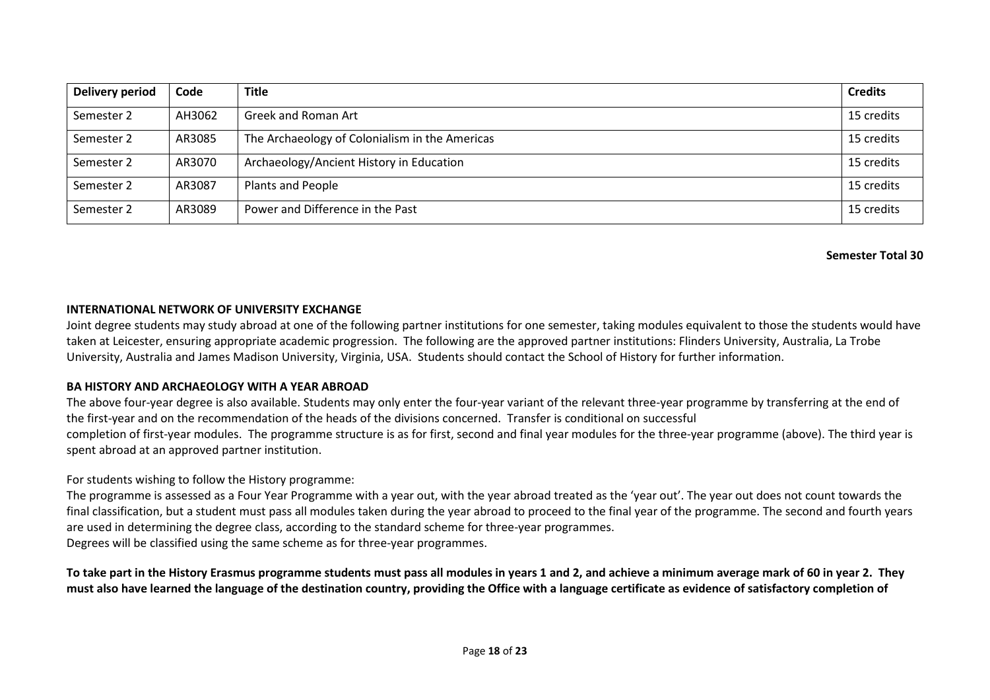| Delivery period | Code   | <b>Title</b>                                   | <b>Credits</b> |
|-----------------|--------|------------------------------------------------|----------------|
| Semester 2      | AH3062 | <b>Greek and Roman Art</b>                     | 15 credits     |
| Semester 2      | AR3085 | The Archaeology of Colonialism in the Americas | 15 credits     |
| Semester 2      | AR3070 | Archaeology/Ancient History in Education       | 15 credits     |
| Semester 2      | AR3087 | <b>Plants and People</b>                       | 15 credits     |
| Semester 2      | AR3089 | Power and Difference in the Past               | 15 credits     |

#### **INTERNATIONAL NETWORK OF UNIVERSITY EXCHANGE**

Joint degree students may study abroad at one of the following partner institutions for one semester, taking modules equivalent to those the students would have taken at Leicester, ensuring appropriate academic progression. The following are the approved partner institutions: Flinders University, Australia, La Trobe University, Australia and James Madison University, Virginia, USA. Students should contact the School of History for further information.

### **BA HISTORY AND ARCHAEOLOGY WITH A YEAR ABROAD**

The above four-year degree is also available. Students may only enter the four-year variant of the relevant three-year programme by transferring at the end of the first-year and on the recommendation of the heads of the divisions concerned. Transfer is conditional on successful completion of first-year modules. The programme structure is as for first, second and final year modules for the three-year programme (above). The third year is spent abroad at an approved partner institution.

For students wishing to follow the History programme:

The programme is assessed as a Four Year Programme with a year out, with the year abroad treated as the 'year out'. The year out does not count towards the final classification, but a student must pass all modules taken during the year abroad to proceed to the final year of the programme. The second and fourth years are used in determining the degree class, according to the standard scheme for three-year programmes.

Degrees will be classified using the same scheme as for three-year programmes.

**To take part in the History Erasmus programme students must pass all modules in years 1 and 2, and achieve a minimum average mark of 60 in year 2. They must also have learned the language of the destination country, providing the Office with a language certificate as evidence of satisfactory completion of**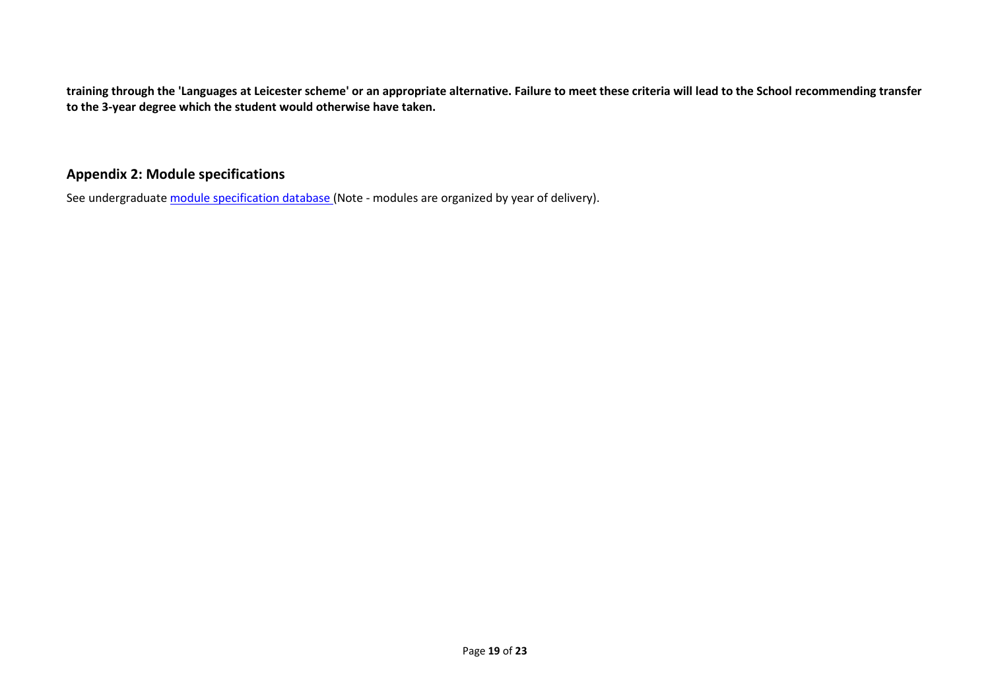**training through the 'Languages at Leicester scheme' or an appropriate alternative. Failure to meet these criteria will lead to the School recommending transfer to the 3-year degree which the student would otherwise have taken.**

# **Appendix 2: Module specifications**

See undergraduat[e module specification database](http://www.le.ac.uk/sas/courses/documentation) (Note - modules are organized by year of delivery).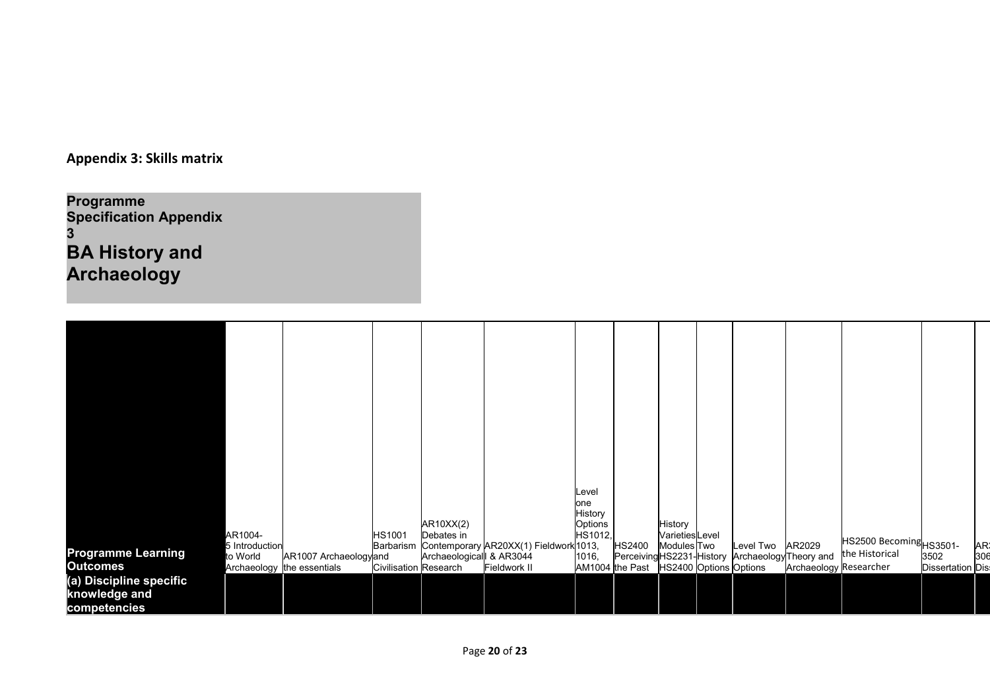**Appendix 3: Skills matrix**

**Programme Specification Appendix 3 BA History and Archaeology**

|                           |                           |                            |                              |                         |                                        | Level          |                 |                                       |                                                  |                               |                         |                          |     |
|---------------------------|---------------------------|----------------------------|------------------------------|-------------------------|----------------------------------------|----------------|-----------------|---------------------------------------|--------------------------------------------------|-------------------------------|-------------------------|--------------------------|-----|
|                           |                           |                            |                              |                         |                                        | one<br>History |                 |                                       |                                                  |                               |                         |                          |     |
|                           |                           |                            |                              | AR10XX(2)               |                                        | Options        |                 | History                               |                                                  |                               |                         |                          |     |
|                           | AR1004-<br>5 Introduction |                            | <b>HS1001</b><br>Barbarism   | Debates in              | Contemporary AR20XX(1) Fieldwork 1013, | HS1012,        | HS2400          | <b>Varieties</b> Level<br>Modules Two | Level Two                                        | AR2029                        | HS2500 Becoming HS3501- |                          | AR: |
| <b>Programme Learning</b> | to World                  | AR1007 Archaeologyand      |                              | Archaeological & AR3044 |                                        | 1016,          |                 |                                       | Perceiving HS2231-History Archaeology Theory and |                               | the Historical          | 3502                     | 306 |
| <b>Outcomes</b>           |                           | Archaeology the essentials | <b>Civilisation Research</b> |                         | Fieldwork II                           |                | AM1004 the Past | HS2400 Options Options                |                                                  | <b>Archaeology Researcher</b> |                         | <b>Dissertation Dist</b> |     |
| (a) Discipline specific   |                           |                            |                              |                         |                                        |                |                 |                                       |                                                  |                               |                         |                          |     |
| knowledge and             |                           |                            |                              |                         |                                        |                |                 |                                       |                                                  |                               |                         |                          |     |
| competencies              |                           |                            |                              |                         |                                        |                |                 |                                       |                                                  |                               |                         |                          |     |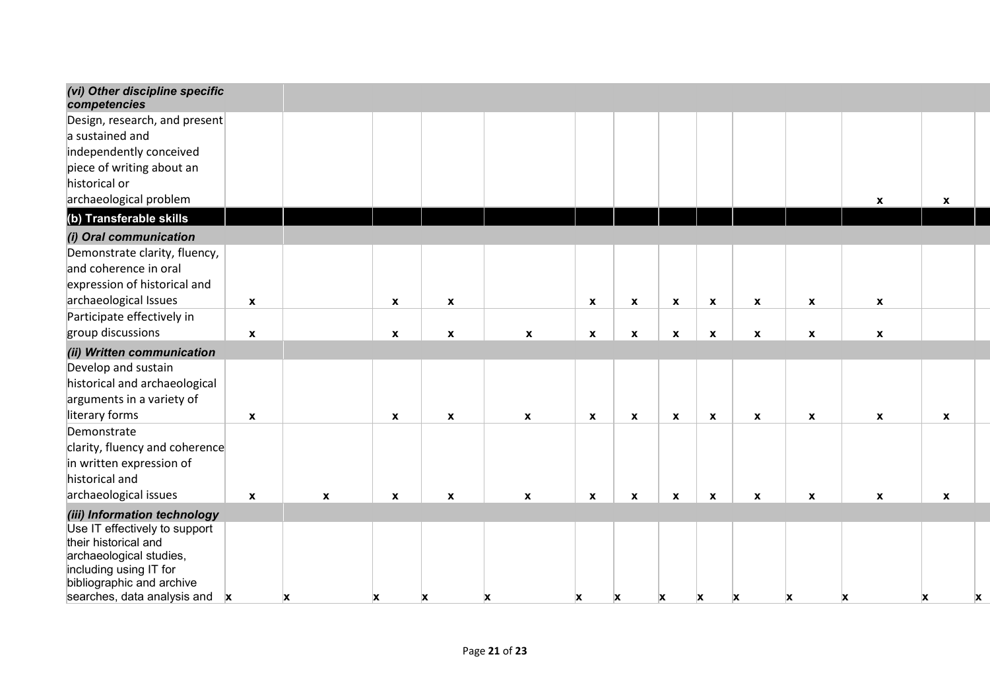| (vi) Other discipline specific<br>competencies    |                    |              |                           |                           |                    |                           |                    |                           |                           |                    |                           |                  |              |   |
|---------------------------------------------------|--------------------|--------------|---------------------------|---------------------------|--------------------|---------------------------|--------------------|---------------------------|---------------------------|--------------------|---------------------------|------------------|--------------|---|
| Design, research, and present                     |                    |              |                           |                           |                    |                           |                    |                           |                           |                    |                           |                  |              |   |
| a sustained and                                   |                    |              |                           |                           |                    |                           |                    |                           |                           |                    |                           |                  |              |   |
| independently conceived                           |                    |              |                           |                           |                    |                           |                    |                           |                           |                    |                           |                  |              |   |
| piece of writing about an                         |                    |              |                           |                           |                    |                           |                    |                           |                           |                    |                           |                  |              |   |
| historical or                                     |                    |              |                           |                           |                    |                           |                    |                           |                           |                    |                           |                  |              |   |
| archaeological problem                            |                    |              |                           |                           |                    |                           |                    |                           |                           |                    |                           | $\boldsymbol{x}$ | X            |   |
| (b) Transferable skills                           |                    |              |                           |                           |                    |                           |                    |                           |                           |                    |                           |                  |              |   |
| (i) Oral communication                            |                    |              |                           |                           |                    |                           |                    |                           |                           |                    |                           |                  |              |   |
| Demonstrate clarity, fluency,                     |                    |              |                           |                           |                    |                           |                    |                           |                           |                    |                           |                  |              |   |
| and coherence in oral                             |                    |              |                           |                           |                    |                           |                    |                           |                           |                    |                           |                  |              |   |
| expression of historical and                      |                    |              |                           |                           |                    |                           |                    |                           |                           |                    |                           |                  |              |   |
| archaeological Issues                             | $\pmb{\mathsf{X}}$ |              | $\boldsymbol{\mathsf{x}}$ | $\boldsymbol{\mathsf{X}}$ |                    | $\mathbf{x}$              | $\pmb{\mathsf{X}}$ | $\boldsymbol{\mathsf{x}}$ | $\pmb{\chi}$              | $\mathbf{x}$       | $\boldsymbol{\mathsf{x}}$ | $\mathbf{x}$     |              |   |
| Participate effectively in                        |                    |              |                           |                           |                    |                           |                    |                           |                           |                    |                           |                  |              |   |
| group discussions                                 | $\pmb{\mathsf{x}}$ |              | $\boldsymbol{x}$          | $\boldsymbol{x}$          | $\pmb{\mathsf{x}}$ | $\boldsymbol{x}$          | $\pmb{\mathsf{x}}$ | $\pmb{\chi}$              | $\boldsymbol{\mathsf{x}}$ | $\pmb{\mathsf{x}}$ | $\boldsymbol{\mathsf{x}}$ | $\boldsymbol{x}$ |              |   |
| (ii) Written communication                        |                    |              |                           |                           |                    |                           |                    |                           |                           |                    |                           |                  |              |   |
| Develop and sustain                               |                    |              |                           |                           |                    |                           |                    |                           |                           |                    |                           |                  |              |   |
| historical and archaeological                     |                    |              |                           |                           |                    |                           |                    |                           |                           |                    |                           |                  |              |   |
| arguments in a variety of                         |                    |              |                           |                           |                    |                           |                    |                           |                           |                    |                           |                  |              |   |
| literary forms                                    | $\pmb{\mathsf{x}}$ |              | $\mathbf{x}$              | $\mathbf{x}$              | $\pmb{\mathsf{x}}$ | $\boldsymbol{\mathsf{x}}$ | $\pmb{\mathsf{X}}$ | $\boldsymbol{\mathsf{x}}$ | $\pmb{\mathsf{x}}$        | $\boldsymbol{x}$   | $\boldsymbol{\mathsf{x}}$ | $\mathbf{x}$     | X            |   |
| Demonstrate                                       |                    |              |                           |                           |                    |                           |                    |                           |                           |                    |                           |                  |              |   |
| clarity, fluency and coherence                    |                    |              |                           |                           |                    |                           |                    |                           |                           |                    |                           |                  |              |   |
| in written expression of                          |                    |              |                           |                           |                    |                           |                    |                           |                           |                    |                           |                  |              |   |
| historical and                                    |                    |              |                           |                           |                    |                           |                    |                           |                           |                    |                           |                  |              |   |
| archaeological issues                             | $\mathbf{x}$       | $\mathbf{x}$ | $\mathbf{x}$              | $\boldsymbol{\mathsf{x}}$ | $\mathbf{x}$       | $\mathbf{x}$              | $\boldsymbol{x}$   | $\mathbf{x}$              | $\boldsymbol{\mathsf{x}}$ | $\mathbf{x}$       | $\boldsymbol{x}$          | $\mathbf{x}$     | $\mathbf{x}$ |   |
| (iii) Information technology                      |                    |              |                           |                           |                    |                           |                    |                           |                           |                    |                           |                  |              |   |
| Use IT effectively to support                     |                    |              |                           |                           |                    |                           |                    |                           |                           |                    |                           |                  |              |   |
| their historical and                              |                    |              |                           |                           |                    |                           |                    |                           |                           |                    |                           |                  |              |   |
| archaeological studies,<br>including using IT for |                    |              |                           |                           |                    |                           |                    |                           |                           |                    |                           |                  |              |   |
| bibliographic and archive                         |                    |              |                           |                           |                    |                           |                    |                           |                           |                    |                           |                  |              |   |
| searches, data analysis and                       | X                  | X            | X                         | X                         | X                  | x                         | X                  | X                         | X                         | X                  | X                         | X                | X            | X |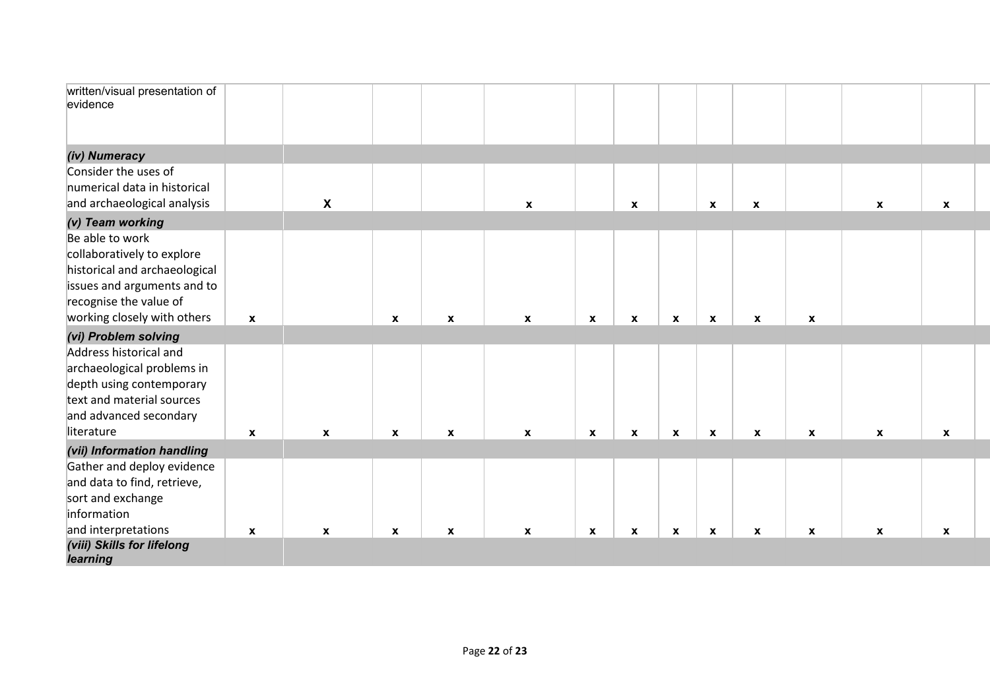| written/visual presentation of<br>evidence |                           |                           |                  |                           |                  |                  |              |              |                           |                    |                           |                           |                           |  |
|--------------------------------------------|---------------------------|---------------------------|------------------|---------------------------|------------------|------------------|--------------|--------------|---------------------------|--------------------|---------------------------|---------------------------|---------------------------|--|
| (iv) Numeracy                              |                           |                           |                  |                           |                  |                  |              |              |                           |                    |                           |                           |                           |  |
| Consider the uses of                       |                           |                           |                  |                           |                  |                  |              |              |                           |                    |                           |                           |                           |  |
| numerical data in historical               |                           |                           |                  |                           |                  |                  |              |              |                           |                    |                           |                           |                           |  |
| and archaeological analysis                |                           | $\boldsymbol{\mathsf{x}}$ |                  |                           | $\mathbf{x}$     |                  | $\mathbf{x}$ |              | $\boldsymbol{\mathsf{x}}$ | $\boldsymbol{x}$   |                           | $\boldsymbol{\mathsf{x}}$ | $\mathbf x$               |  |
| (v) Team working                           |                           |                           |                  |                           |                  |                  |              |              |                           |                    |                           |                           |                           |  |
| Be able to work                            |                           |                           |                  |                           |                  |                  |              |              |                           |                    |                           |                           |                           |  |
| collaboratively to explore                 |                           |                           |                  |                           |                  |                  |              |              |                           |                    |                           |                           |                           |  |
| historical and archaeological              |                           |                           |                  |                           |                  |                  |              |              |                           |                    |                           |                           |                           |  |
| issues and arguments and to                |                           |                           |                  |                           |                  |                  |              |              |                           |                    |                           |                           |                           |  |
| recognise the value of                     |                           |                           |                  |                           |                  |                  |              |              |                           |                    |                           |                           |                           |  |
| working closely with others                | $\boldsymbol{\mathsf{x}}$ |                           | $\boldsymbol{x}$ | $\pmb{\mathsf{x}}$        | $\boldsymbol{x}$ | $\mathbf x$      | $\mathbf x$  | $\mathbf{x}$ | $\mathbf{x}$              | $\pmb{\mathsf{x}}$ | $\pmb{\chi}$              |                           |                           |  |
| (vi) Problem solving                       |                           |                           |                  |                           |                  |                  |              |              |                           |                    |                           |                           |                           |  |
| Address historical and                     |                           |                           |                  |                           |                  |                  |              |              |                           |                    |                           |                           |                           |  |
| archaeological problems in                 |                           |                           |                  |                           |                  |                  |              |              |                           |                    |                           |                           |                           |  |
| depth using contemporary                   |                           |                           |                  |                           |                  |                  |              |              |                           |                    |                           |                           |                           |  |
| text and material sources                  |                           |                           |                  |                           |                  |                  |              |              |                           |                    |                           |                           |                           |  |
| and advanced secondary                     |                           |                           |                  |                           |                  |                  |              |              |                           |                    |                           |                           |                           |  |
| literature                                 | $\boldsymbol{\mathsf{x}}$ | $\pmb{\chi}$              | $\mathbf{x}$     | $\pmb{\chi}$              | $\mathbf{x}$     | $\boldsymbol{x}$ | $\mathbf{x}$ | $\pmb{\chi}$ | $\pmb{\chi}$              | $\pmb{\chi}$       | $\boldsymbol{\mathsf{x}}$ | $\boldsymbol{\mathsf{x}}$ | $\mathbf{x}$              |  |
| (vii) Information handling                 |                           |                           |                  |                           |                  |                  |              |              |                           |                    |                           |                           |                           |  |
| Gather and deploy evidence                 |                           |                           |                  |                           |                  |                  |              |              |                           |                    |                           |                           |                           |  |
| and data to find, retrieve,                |                           |                           |                  |                           |                  |                  |              |              |                           |                    |                           |                           |                           |  |
| sort and exchange                          |                           |                           |                  |                           |                  |                  |              |              |                           |                    |                           |                           |                           |  |
| information                                |                           |                           |                  |                           |                  |                  |              |              |                           |                    |                           |                           |                           |  |
| and interpretations                        | $\mathbf{x}$              | $\boldsymbol{\mathsf{x}}$ | X                | $\boldsymbol{\mathsf{x}}$ | $\mathbf{x}$     | $\mathbf{x}$     | $\pmb{\chi}$ | $\mathbf{x}$ | $\boldsymbol{\mathsf{x}}$ | $\pmb{\chi}$       | $\pmb{\chi}$              | $\boldsymbol{\mathsf{x}}$ | $\boldsymbol{\mathsf{x}}$ |  |
| (viii) Skills for lifelong                 |                           |                           |                  |                           |                  |                  |              |              |                           |                    |                           |                           |                           |  |
| learning                                   |                           |                           |                  |                           |                  |                  |              |              |                           |                    |                           |                           |                           |  |